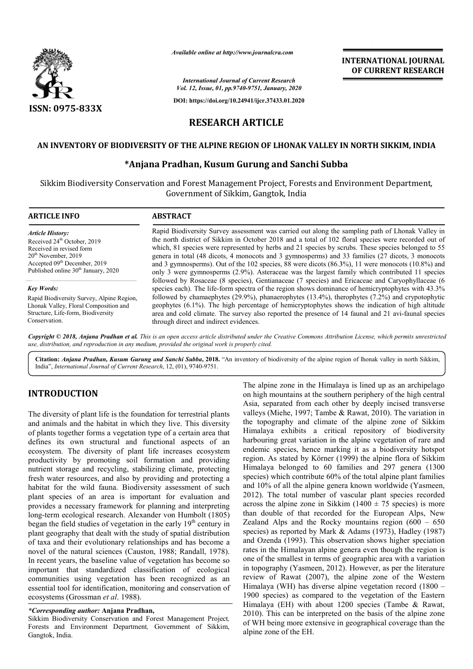

*Available online at http://www.journalcra.com*

*International Journal of Current Research Vol. 12, Issue, 01, pp.9740-9751, January, 2020*

**DOI: https://doi.org/10.24941/ijcr.37433.01.2020**

## **INTERNATIONAL JOURNAL OF CURRENT RESEARCH**

# **RESEARCH ARTICLE**

#### **AN INVENTORY OF BIODIVERSITY OF THE ALPINE REGION OF LHONAK VALLEY IN NORTH SIKKIM, INDIA OF THE INDIA**

### **\*Anjana Pradhan, Kusum Gurung and Sanchi Subba**

Sikkim Biodiversity Conservation and Forest Management Project*,* Forests and Environment Department Department*,*  Government of Sikkim, Gangtok, India

| <b>ARTICLE INFO</b>                             | <b>ABSTRACT</b>                                                                                                                                                                                      |  |
|-------------------------------------------------|------------------------------------------------------------------------------------------------------------------------------------------------------------------------------------------------------|--|
| <b>Article History:</b>                         | Rapid Biodiversity Survey assessment was carried out along the sampling path of Lhonak Valley in                                                                                                     |  |
| Received 24 <sup>th</sup> October, 2019         | the north district of Sikkim in October 2018 and a total of 102 floral species were recorded out of                                                                                                  |  |
| Received in revised form                        | which, 81 species were represented by herbs and 21 species by scrubs. These species belonged to 55                                                                                                   |  |
| $20th$ November, 2019                           | genera in total (48 dicots, 4 monocots and 3 gymnosperms) and 33 families (27 dicots, 3 monocots                                                                                                     |  |
| Accepted 09 <sup>th</sup> December, 2019        | and 3 gymnosperms). Out of the 102 species, 88 were dicots $(86.3\%)$ , 11 were monocots $(10.8\%)$ and                                                                                              |  |
| Published online 30 <sup>th</sup> January, 2020 | only 3 were gymnosperms (2.9%). Asteraceae was the largest family which contributed 11 species                                                                                                       |  |
| <b>Key Words:</b>                               | followed by Rosaceae (8 species), Gentianaceae (7 species) and Ericaceae and Caryophyllaceae (6<br>species each). The life-form spectra of the region shows dominance of hemicryptophytes with 43.3% |  |
| Rapid Biodiversity Survey, Alpine Region,       | followed by chamaephytes (29.9%), phanaerophytes (13.4%), therophytes (7.2%) and crypotophytic                                                                                                       |  |
| Lhonak Valley, Floral Composition and           | geophytes (6.1%). The high percentage of hemicryptophytes shows the indication of high altitude                                                                                                      |  |
| Structure, Life-form, Biodiversity              | area and cold climate. The survey also reported the presence of 14 faunal and 21 avi-faunal species                                                                                                  |  |
| Conservation.                                   | through direct and indirect evidences.                                                                                                                                                               |  |

Copyright © 2018, Anjana Pradhan et al. This is an open access article distributed under the Creative Commons Attribution License, which permits unrestrictea *use, distribution, and reproduction in any medium, provided the original work is properly cited.*

Citation: Anjana Pradhan, Kusum Gurung and Sanchi Subba, 2018. "An inventory of biodiversity of the alpine region of lhonak valley in north Sikkim, India", *International Journal of Current Research*, 12 12, (01), 9740-9751.

## **INTRODUCTION**

The diversity of plant life is the foundation for terrestrial plants and animals and the habitat in which they live. This diversity of plants together forms a vegetation type of a certain area that defines its own structural and functional aspects of an ecosystem. The diversity of plant life increases ecosystem productivity by promoting soil formation and providing nutrient storage and recycling, stabilizing climate, protecting fresh water resources, and also by providing and protecting a habitat for the wild fauna. Biodiversity assessment of such plant species of an area is important for evaluation and provides a necessary framework for planning and interpreting long-term ecological research. Alexander von Humbolt (1805) began the field studies of vegetation in the early  $19<sup>th</sup>$  century in plant geography that dealt with the study of spatial distribution of taxa and their evolutionary relationships and has become a novel of the natural sciences (Causton, 1988; Randall, 1978). In recent years, the baseline value of vegetation has become so important that standardized classification of ecological communities using vegetation has been recognized as an essential tool for identification, monitoring and conservation of ecosystems (Grossman *et al*. 1988). rces, and also by providing and protecting a<br>vild fauna. Biodiversity assessment of such<br>an area is important for evaluation and<br>ary framework for planning and interpreting<br>cal research. Alexander von Humbolt (1805)<br>adies ston, 1988; Randall, 1978).<br>Sof vegetation has become so<br>assification of ecological<br>as been recognized as an<br>intoring and conservation of

#### *\*Corresponding author:* **Anjana Pradhan,**

Sikkim Biodiversity Conservation and Forest Management Project *,*  Forests and Environment Department*,* Government of Sikkim, Gangtok, India.

The alpine zone in the Himalaya is lined up as an archipelago on high mountains at the southern periphery of the high central Asia, separated from each other by deeply incised transverse valleys (Miehe, 1997; Tambe & Rawat, 2010). The variation in The alpine zone in the Himalaya is lined up as an archipelago<br>on high mountains at the southern periphery of the high central<br>Asia, separated from each other by deeply incised transverse<br>valleys (Miehe, 1997; Tambe & Rawat Himalaya exhibits a critical repository of biodiversity harbouring great variation in the alpine vegetation of rare and endemic species, hence marking it as a biodiversity hotspot region. As stated by Körner (1999) the alpine flora of Sikkim Himalaya belonged to 60 families and 297 genera (1300 species) which contribute 60% of the total alpine plant families and 10% of all the alpine genera known worldwide (Yasmeen, 2012). The total number of vascular plant species recorded across the alpine zone in Sikkim ( $1400 \pm 75$  species) is more than double of that recorded for the European Alps, New Himalaya belonged to 60 families and 297 genera (1300 species) which contribute 60% of the total alpine plant families and 10% of all the alpine genera known worldwide (Yasmeen, 2012). The total number of vascular plant s species) as reported by Mark & Adams (1973), Hadley (1987) species) as reported by Mark & Adams (1973), Hadley (1987) and Ozenda (1993). This observation shows higher speciation rates in the Himalayan alpine genera even though the region is one of the smallest in terms of geographic area with a variation rates in the Himalayan alpine genera even though the region is<br>one of the smallest in terms of geographic area with a variation<br>in topography (Yasmeen, 2012). However, as per the literature review of Rawat (2007), the alpine zone of the Western Himalaya (WH) has diverse alpine vegetation record (1800 -1900 species) as compared to the vegetation of the Eastern Himalaya (EH) with about 1200 species (Tambe & Rawat, 2010). This can be interpreted on the basis of the alpine zone of WH being more extensive in geographical coverage than the alpine zone of the EH. Himalaya exhibits a critical repository of biodiversity<br>harbouring great variation in the alpine vegetation of rare and<br>endemic species, hence marking it as a biodiversity hotspot<br>region. As stated by Körner (1999) the alp **EXERCTI CONSTRANT CONAL FORMATE (THE CONSTRANT CONSTRANT CONSTRANT OF CURRENT RESEARCH Journary, 201**<br> **COLUMBERT TRESSEARCH**<br> **COLUMBERT TRESSEARCH**<br> **COLUMBERT TRESSEARCH**<br> **COLUMBERT TRESSEARCH**<br> **COLUMBERT TRESSEARCH**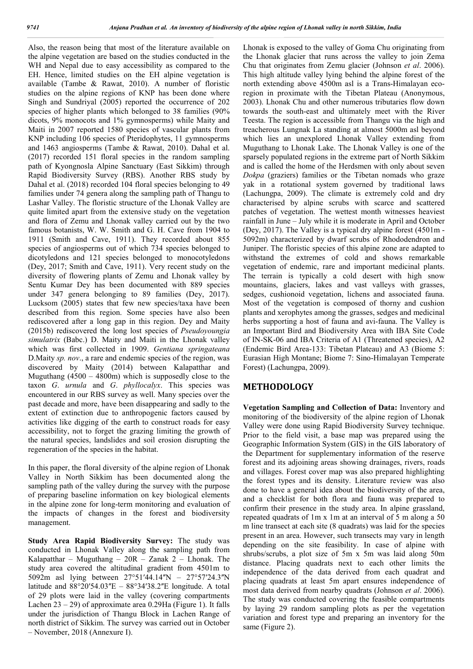Also, the reason being that most of the literature available on the alpine vegetation are based on the studies conducted in the WH and Nepal due to easy accessibility as compared to the EH. Hence, limited studies on the EH alpine vegetation is available (Tambe & Rawat, 2010). A number of floristic studies on the alpine regions of KNP has been done where Singh and Sundriyal (2005) reported the occurrence of 202 species of higher plants which belonged to 38 families (90% dicots, 9% monocots and 1% gymnosperms) while Maity and Maiti in 2007 reported 1580 species of vascular plants from KNP including 106 species of Pteridophytes, 11 gymnosperms and 1463 angiosperms (Tambe & Rawat, 2010). Dahal et al. (2017) recorded 151 floral species in the random sampling path of Kyongnosla Alpine Sanctuary (East Sikkim) through Rapid Biodiversity Survey (RBS). Another RBS study by Dahal et al. (2018) recorded 104 floral species belonging to 49 families under 74 genera along the sampling path of Thangu to Lashar Valley. The floristic structure of the Lhonak Valley are quite limited apart from the extensive study on the vegetation and flora of Zemu and Lhonak valley carried out by the two famous botanists, W. W. Smith and G. H. Cave from 1904 to 1911 (Smith and Cave, 1911). They recorded about 855 species of angiosperms out of which 734 species belonged to dicotyledons and 121 species belonged to monocotyledons (Dey, 2017; Smith and Cave, 1911). Very recent study on the diversity of flowering plants of Zemu and Lhonak valley by Sentu Kumar Dey has been documented with 889 species under 347 genera belonging to 89 families (Dey, 2017). Lucksom (2005) states that few new species/taxa have been described from this region. Some species have also been rediscovered after a long gap in this region. Dey and Maity (2015b) rediscovered the long lost species of *Pseudoyoungia simulatrix* (Babc.) D. Maity and Maiti in the Lhonak valley which was first collected in 1909. *Gentiana springateana* D.Maity *sp. nov*., a rare and endemic species of the region, was discovered by Maity (2014) between Kalapatthar and Muguthang  $(4500 - 4800m)$  which is supposedly close to the taxon *G*. *urnula* and *G*. *phyllocalyx*. This species was encountered in our RBS survey as well. Many species over the past decade and more, have been disappearing and sadly to the extent of extinction due to anthropogenic factors caused by activities like digging of the earth to construct roads for easy accessibility, not to forget the grazing limiting the growth of the natural species, landslides and soil erosion disrupting the regeneration of the species in the habitat.

In this paper, the floral diversity of the alpine region of Lhonak Valley in North Sikkim has been documented along the sampling path of the valley during the survey with the purpose of preparing baseline information on key biological elements in the alpine zone for long-term monitoring and evaluation of the impacts of changes in the forest and biodiversity management.

**Study Area Rapid Biodiversity Survey:** The study was conducted in Lhonak Valley along the sampling path from Kalapatthar – Muguthang –  $20R$  – Zanak 2 – Lhonak. The study area covered the altitudinal gradient from 4501m to 5092m asl lying between 27°51′44.14″N – 27°57′24.3″N latitude and  $88^{\circ}20'54.03''E - 88^{\circ}34'38.2''E$  longitude. A total of 29 plots were laid in the valley (covering compartments Lachen  $23 - 29$ ) of approximate area 0.29Ha (Figure 1). It falls under the jurisdiction of Thangu Block in Lachen Range of north district of Sikkim. The survey was carried out in October – November, 2018 (Annexure I).

Lhonak is exposed to the valley of Goma Chu originating from the Lhonak glacier that runs across the valley to join Zema Chu that originates from Zemu glacier (Johnson *et al*. 2006). This high altitude valley lying behind the alpine forest of the north extending above 4500m asl is a Trans-Himalayan ecoregion in proximate with the Tibetan Plateau (Anonymous, 2003). Lhonak Chu and other numerous tributaries flow down towards the south-east and ultimately meet with the River Teesta. The region is accessible from Thangu via the high and treacherous Lungnak La standing at almost 5000m asl beyond which lies an unexplored Lhonak Valley extending from Muguthang to Lhonak Lake. The Lhonak Valley is one of the sparsely populated regions in the extreme part of North Sikkim and is called the home of the Herdsmen with only about seven *Dokpa* (graziers) families or the Tibetan nomads who graze yak in a rotational system governed by traditional laws (Lachungpa, 2009). The climate is extremely cold and dry characterised by alpine scrubs with scarce and scattered patches of vegetation. The wettest month witnesses heaviest rainfall in June – July while it is moderate in April and October (Dey, 2017). The Valley is a typical dry alpine forest (4501m - 5092m) characterized by dwarf scrubs of Rhododendron and Juniper. The floristic species of this alpine zone are adapted to withstand the extremes of cold and shows remarkable vegetation of endemic, rare and important medicinal plants. The terrain is typically a cold desert with high snow mountains, glaciers, lakes and vast valleys with grasses, sedges, cushionoid vegetation, lichens and associated fauna. Most of the vegetation is composed of thorny and cushion plants and xerophytes among the grasses, sedges and medicinal herbs supporting a host of fauna and avi-fauna. The Valley is an Important Bird and Biodiversity Area with IBA Site Code of IN-SK-06 and IBA Criteria of A1 (Threatened species), A2 (Endemic Bird Area-133: Tibetan Plateau) and A3 (Biome 5: Eurasian High Montane; Biome 7: Sino-Himalayan Temperate Forest) (Lachungpa, 2009).

## **METHODOLOGY**

**Vegetation Sampling and Collection of Data:** Inventory and monitoring of the biodiversity of the alpine region of Lhonak Valley were done using Rapid Biodiversity Survey technique. Prior to the field visit, a base map was prepared using the Geographic Information System (GIS) in the GIS laboratory of the Department for supplementary information of the reserve forest and its adjoining areas showing drainages, rivers, roads and villages. Forest cover map was also prepared highlighting the forest types and its density. Literature review was also done to have a general idea about the biodiversity of the area, and a checklist for both flora and fauna was prepared to confirm their presence in the study area. In alpine grassland, repeated quadrats of 1m x 1m at an interval of 5 m along a 50 m line transect at each site (8 quadrats) was laid for the species present in an area. However, such transects may vary in length depending on the site feasibility. In case of alpine with shrubs/scrubs, a plot size of 5m x 5m was laid along 50m distance. Placing quadrats next to each other limits the independence of the data derived from each quadrat and placing quadrats at least 5m apart ensures independence of most data derived from nearby quadrats (Johnson *et al*. 2006). The study was conducted covering the feasible compartments by laying 29 random sampling plots as per the vegetation variation and forest type and preparing an inventory for the same (Figure 2).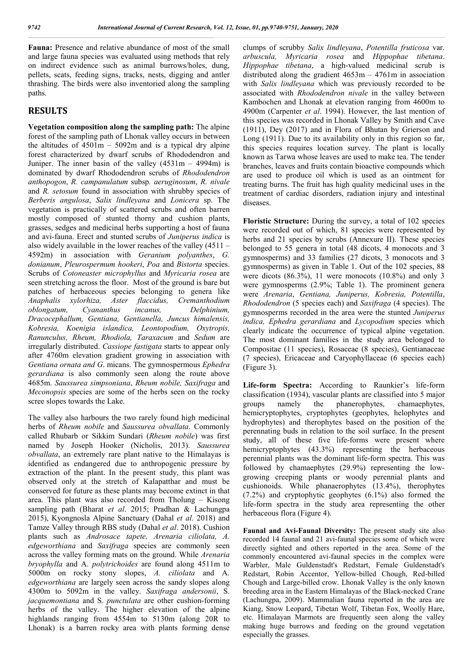**Fauna:** Presence and relative abundance of most of the small and large fauna species was evaluated using methods that rely on indirect evidence such as animal burrows/holes, dung, pellets, scats, feeding signs, tracks, nests, digging and antler thrashing. The birds were also inventoried along the sampling paths.

## **RESULTS**

**Vegetation composition along the sampling path:** The alpine forest of the sampling path of Lhonak valley occurs in between the altitudes of  $4501m - 5092m$  and is a typical dry alpine forest characterized by dwarf scrubs of Rhododendron and Juniper. The inner basin of the valley  $(4531m - 4994m)$  is dominated by dwarf Rhododendron scrubs of *Rhododendron anthopogon*, *R. campanulatum* subsp*. aeruginosum*, *R. nivale* and *R. setosum* found in association with shrubby species of *Berberis angulosa*, *Salix lindleyana* and *Lonicera* sp. The vegetation is practically of scattered scrubs and often barren mostly composed of stunted thorny and cushion plants, grasses, sedges and medicinal herbs supporting a host of fauna and avi-fauna. Erect and stunted scrubs of *Juniperus indica* is also widely available in the lower reaches of the valley (4511 – 4592m) in association with *Geranium polyanthes*, *G. donianum*, *Pleurospermum hookeri*, *Poa* and *Bistorta* species. Scrubs of *Cotoneaster microphyllus* and *Myricaria rosea* are seen stretching across the floor. Most of the ground is bare but patches of herbaceous species belonging to genera like *Anaphalis xylorhiza, Aster flaccidus, Cremanthodium oblongatum, Cyananthus incanus, Delphinium, Dracocephallum, Gentiana, Gentianella, Juncus himalensis, Kobresia, Koenigia islandica, Leontopodium, Oxytropis, Ranunculus, Rheum, Rhodiola, Taraxacum* and *Sedum* are irregularly distributed. *Cassiope fastigata* starts to appear only after 4760m elevation gradient growing in association with *Gentiana ornata and G*. micans. The gymnospermous *Ephedra gerardiana* is also commonly seen along the route above 4685m. *Saussurea simpsoniana*, *Rheum nobile, Saxifraga* and *Meconopsis* species are some of the herbs seen on the rocky scree slopes towards the Lake.

The valley also harbours the two rarely found high medicinal herbs of *Rheum nobile* and *Saussurea obvallata*. Commonly called Rhubarb or Sikkim Sundari (*Rheum nobile*) was first named by Joseph Hooker (Nicholis, 2013). *Saussurea obvallata*, an extremely rare plant native to the Himalayas is identified as endangered due to anthropogenic pressure by extraction of the plant. In the present study, this plant was observed only at the stretch of Kalapatthar and must be conserved for future as these plants may become extinct in that area. This plant was also recorded from Tholung – Kisong sampling path (Bharat *et al*. 2015; Pradhan & Lachungpa 2015), Kyongnosla Alpine Sanctuary (Dahal *et al*. 2018) and Tamze Valley through RBS study (Dahal *et al*. 2018). Cushion plants such as *Androsace tapete, Arenaria ciliolata, A. edgeworthiana* and *Saxifraga* species are commonly seen across the valley forming mats on the ground. While *Arenaria bryophylla* and A. *polytrichoides* are found along 4511m to 5000m on rocky stony slopes, *A. ciliolata* and A. *edgeworthiana* are largely seen across the sandy slopes along 4300m to 5092m in the valley. *Saxifraga andersonii*, S. *jacquemontiana* and S. *punctulata* are other cushion-forming herbs of the valley. The higher elevation of the alpine highlands ranging from 4554m to 5130m (along 20R to Lhonak) is a barren rocky area with plants forming dense

clumps of scrubby *Salix lindleyana*, *Potentilla fruticosa* var. *arbuscula, Myricaria rosea* and *Hippophae tibetana*. *Hippophae tibetana*, a high-valued medicinal scrub is distributed along the gradient 4653m – 4761m in association with *Salix lindleyana* which was previously recorded to be associated with *Rhododendron nivale* in the valley between Kambochen and Lhonak at elevation ranging from 4600m to 4900m (Carpenter *et al*. 1994). However, the last mention of this species was recorded in Lhonak Valley by Smith and Cave (1911), Dey (2017) and in Flora of Bhutan by Grierson and Long (1911). Due to its availability only in this region so far, this species requires location survey. The plant is locally known as Tarwa whose leaves are used to make tea. The tender branches, leaves and fruits contain bioactive compounds which are used to produce oil which is used as an ointment for treating burns. The fruit has high quality medicinal uses in the treatment of cardiac disorders, radiation injury and intestinal diseases.

**Floristic Structure:** During the survey, a total of 102 species were recorded out of which, 81 species were represented by herbs and 21 species by scrubs (Annexure II). These species belonged to 55 genera in total (48 dicots, 4 monocots and 3 gymnosperms) and 33 families (27 dicots, 3 monocots and 3 gymnosperms) as given in Table 1. Out of the 102 species, 88 were dicots (86.3%), 11 were monocots (10.8%) and only 3 were gymnosperms (2.9%; Table 1). The prominent genera were *Arenaria*, *Gentiana, Juniperus, Kobresia, Potentilla*, *Rhododendron* (5 species each) and *Saxifraga* (4 species). The gymnosperms recorded in the area were the stunted *Juniperus indica, Ephedra gerardiana* and *Lycopodium* species which clearly indicate the occurrence of typical alpine vegetation. The most dominant families in the study area belonged to Compositae (11 species), Rosaceae (8 species), Gentianaceae (7 species), Ericaceae and Caryophyllaceae (6 species each) (Figure 3).

**Life-form Spectra:** According to Raunkier's life-form classification (1934), vascular plants are classified into 5 major groups namely the phanerophytes, chamaephytes, hemicryptophytes, cryptophytes (geophytes, helophytes and hydrophytes) and therophytes based on the position of the perennating buds in relation to the soil surface. In the present study, all of these five life-forms were present where hemicryptophytes (43.3%) representing the herbaceous perennial plants was the dominant life-form spectra. This was followed by chamaephytes (29.9%) representing the lowgrowing creeping plants or woody perennial plants and cushionoids. While phanaerophytes (13.4%), therophytes (7.2%) and cryptophytic geophytes (6.1%) also formed the life-form spectra in the study area representing the other herbaceous flora (Figure 4).

**Faunal and Avi-Faunal Diversity:** The present study site also recorded 14 faunal and 21 avi-faunal species some of which were directly sighted and others reported in the area. Some of the commonly encountered avi-faunal species in the complex were Warbler, Male Guldenstadt's Redstart, Female Guldenstadt's Redstart, Robin Accentor, Yellow-billed Chough, Red-billed Chough and Large-billed crow. Lhonak Valley is the only known breeding area in the Eastern Himalayas of the Black-necked Crane (Lachungpa, 2009). Mammalian fauna reported in the area are Kiang, Snow Leopard, Tibetan Wolf, Tibetan Fox, Woolly Hare, etc. Himalayan Marmots are frequently seen along the valley making huge burrows and feeding on the ground vegetation especially the grasses.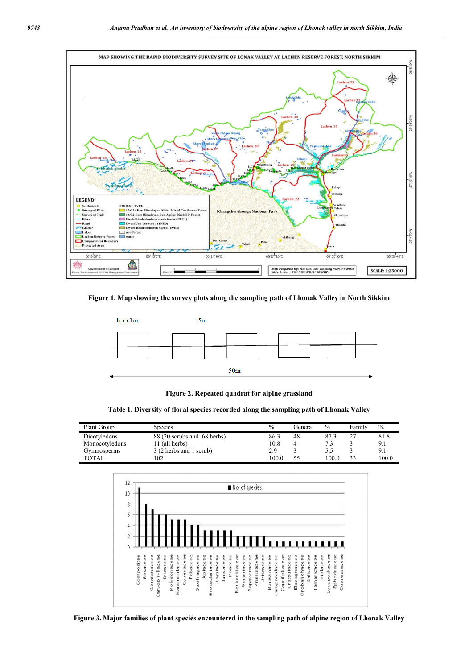

**Figure 1. Map showing the survey plots along the sampling path of Lhonak Valley in North Sikkim**



**Figure 2. Repeated quadrat for alpine grassland**

**Table 1. Diversity of floral species recorded along the sampling path of Lhonak Valley**

| Plant Group    | Species                     | $\frac{0}{0}$ | l ienera | $\%$  | Familv | $\frac{0}{0}$ |
|----------------|-----------------------------|---------------|----------|-------|--------|---------------|
| Dicotyledons   | 88 (20 scrubs and 68 herbs) | 86.3          | 48       | 87.3  |        | 81.8          |
| Monocotyledons | 11 (all herbs)              | 10.8          |          |       |        | 9.1           |
| Gymnosperms    | 3 (2 herbs and 1 scrub)     | 2.9           |          | 5.5   |        | 9.1           |
| TOTAL          | 102                         | 100.0         |          | 100.0 | 33     | 100.0         |



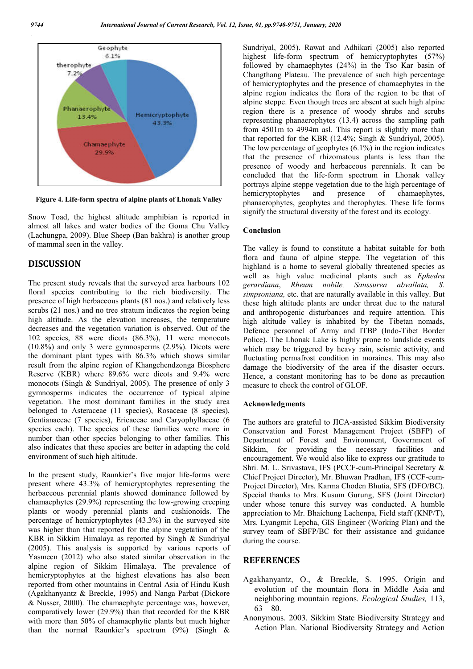

**Figure 4. Life-form spectra of alpine plants of Lhonak Valley**

Snow Toad, the highest altitude amphibian is reported in almost all lakes and water bodies of the Goma Chu Valley (Lachungpa, 2009). Blue Sheep (Ban bakhra) is another group of mammal seen in the valley.

#### **DISCUSSION**

The present study reveals that the surveyed area harbours 102 floral species contributing to the rich biodiversity. The presence of high herbaceous plants (81 nos.) and relatively less scrubs (21 nos.) and no tree stratum indicates the region being high altitude. As the elevation increases, the temperature decreases and the vegetation variation is observed. Out of the 102 species, 88 were dicots (86.3%), 11 were monocots (10.8%) and only 3 were gymnosperms (2.9%). Dicots were the dominant plant types with 86.3% which shows similar result from the alpine region of Khangchendzonga Biosphere Reserve (KBR) where 89.6% were dicots and 9.4% were monocots (Singh & Sundriyal, 2005). The presence of only 3 gymnosperms indicates the occurrence of typical alpine vegetation. The most dominant families in the study area belonged to Asteraceae (11 species), Rosaceae (8 species), Gentianaceae (7 species), Ericaceae and Caryophyllaceae (6 species each). The species of these families were more in number than other species belonging to other families. This also indicates that these species are better in adapting the cold environment of such high altitude.

In the present study, Raunkier's five major life-forms were present where 43.3% of hemicryptophytes representing the herbaceous perennial plants showed dominance followed by chamaephytes (29.9%) representing the low-growing creeping plants or woody perennial plants and cushionoids. The percentage of hemicryptophytes (43.3%) in the surveyed site was higher than that reported for the alpine vegetation of the KBR in Sikkim Himalaya as reported by Singh & Sundriyal (2005). This analysis is supported by various reports of Yasmeen (2012) who also stated similar observation in the alpine region of Sikkim Himalaya. The prevalence of hemicryptophytes at the highest elevations has also been reported from other mountains in Central Asia of Hindu Kush (Agakhanyantz & Breckle, 1995) and Nanga Parbat (Dickore & Nusser, 2000). The chamaephyte percentage was, however, comparatively lower (29.9%) than that recorded for the KBR with more than 50% of chamaephytic plants but much higher than the normal Raunkier's spectrum (9%) (Singh &

Sundriyal, 2005). Rawat and Adhikari (2005) also reported highest life-form spectrum of hemicryptophytes (57%) followed by chamaephytes (24%) in the Tso Kar basin of Changthang Plateau. The prevalence of such high percentage of hemicryptophytes and the presence of chamaephytes in the alpine region indicates the flora of the region to be that of alpine steppe. Even though trees are absent at such high alpine region there is a presence of woody shrubs and scrubs representing phanaerophytes (13.4) across the sampling path from 4501m to 4994m asl. This report is slightly more than that reported for the KBR (12.4%; Singh & Sundriyal, 2005). The low percentage of geophytes (6.1%) in the region indicates that the presence of rhizomatous plants is less than the presence of woody and herbaceous perennials. It can be concluded that the life-form spectrum in Lhonak valley portrays alpine steppe vegetation due to the high percentage of hemicryptophytes and presence of chamaephytes, phanaerophytes, geophytes and therophytes. These life forms signify the structural diversity of the forest and its ecology.

#### **Conclusion**

The valley is found to constitute a habitat suitable for both flora and fauna of alpine steppe. The vegetation of this highland is a home to several globally threatened species as well as high value medicinal plants such as *Ephedra gerardiana*, *Rheum nobile, Saussurea abvallata, S. simpsoniana,* etc. that are naturally available in this valley. But these high altitude plants are under threat due to the natural and anthropogenic disturbances and require attention. This high altitude valley is inhabited by the Tibetan nomads, Defence personnel of Army and ITBP (Indo-Tibet Border Police). The Lhonak Lake is highly prone to landslide events which may be triggered by heavy rain, seismic activity, and fluctuating permafrost condition in moraines. This may also damage the biodiversity of the area if the disaster occurs. Hence, a constant monitoring has to be done as precaution measure to check the control of GLOF.

#### **Acknowledgments**

The authors are grateful to JICA-assisted Sikkim Biodiversity Conservation and Forest Management Project (SBFP) of Department of Forest and Environment, Government of Sikkim, for providing the necessary facilities and encouragement. We would also like to express our gratitude to Shri. M. L. Srivastava, IFS (PCCF-cum-Principal Secretary & Chief Project Director), Mr. Bhuwan Pradhan, IFS (CCF-cum-Project Director), Mrs. Karma Choden Bhutia, SFS (DFO/BC). Special thanks to Mrs. Kusum Gurung, SFS (Joint Director) under whose tenure this survey was conducted. A humble appreciation to Mr. Bhaichung Lachenpa, Field staff (KNP/T), Mrs. Lyangmit Lepcha, GIS Engineer (Working Plan) and the survey team of SBFP/BC for their assistance and guidance during the course.

### **REFERENCES**

- Agakhanyantz, O., & Breckle, S. 1995. Origin and evolution of the mountain flora in Middle Asia and neighboring mountain regions. *Ecological Studies,* 113,  $63 - 80.$
- Anonymous. 2003. Sikkim State Biodiversity Strategy and Action Plan. National Biodiversity Strategy and Action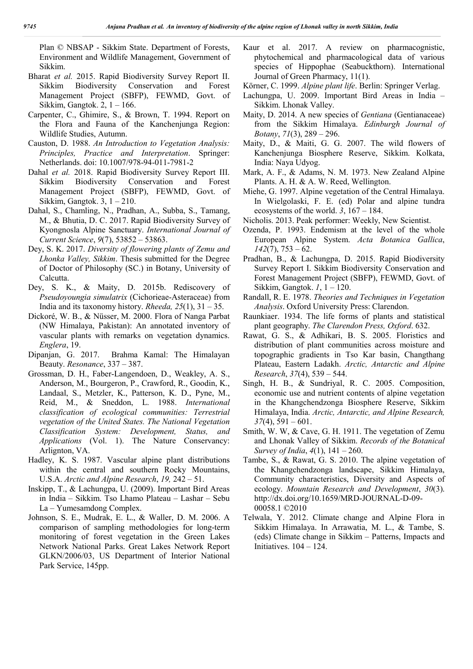Plan © NBSAP - Sikkim State. Department of Forests, Environment and Wildlife Management, Government of Sikkim.

- Bharat *et al.* 2015. Rapid Biodiversity Survey Report II. Sikkim Biodiversity Conservation and Forest Management Project (SBFP), FEWMD, Govt. of Sikkim, Gangtok. 2, 1 – 166.
- Carpenter, C., Ghimire, S., & Brown, T. 1994. Report on the Flora and Fauna of the Kanchenjunga Region: Wildlife Studies, Autumn.
- Causton, D. 1988. *An Introduction to Vegetation Analysis: Principles, Practice and Interpretation*. Springer: Netherlands. doi: 10.1007/978-94-011-7981-2
- Dahal *et al.* 2018. Rapid Biodiversity Survey Report III. Sikkim Biodiversity Conservation and Forest Management Project (SBFP), FEWMD, Govt. of Sikkim, Gangtok. 3, 1 – 210.
- Dahal, S., Chamling, N., Pradhan, A., Subba, S., Tamang, M., & Bhutia, D. C. 2017. Rapid Biodiversity Survey of Kyongnosla Alpine Sanctuary. *International Journal of Current Science*, *9*(7), 53852 – 53863.
- Dey, S. K. 2017. *Diversity of flowering plants of Zemu and Lhonka Valley, Sikkim*. Thesis submitted for the Degree of Doctor of Philosophy (SC.) in Botany, University of Calcutta.
- Dey, S. K., & Maity, D. 2015b. Rediscovery of *Pseudoyoungia simulatrix* (Cichorieae-Asteraceae) from India and its taxonomy history. *Rheeda, 25*(1), 31 – 35.
- Dickoré, W. B., & Nüsser, M. 2000. Flora of Nanga Parbat (NW Himalaya, Pakistan): An annotated inventory of vascular plants with remarks on vegetation dynamics. *Englera*, 19.
- Dipanjan, G. 2017. Brahma Kamal: The Himalayan Beauty. *Resonance*, 337 – 387.
- Grossman, D. H., Faber-Langendoen, D., Weakley, A. S., Anderson, M., Bourgeron, P., Crawford, R., Goodin, K., Landaal, S., Metzler, K., Patterson, K. D., Pyne, M., Reid, M., & Sneddon, L. 1988. *International classification of ecological communities: Terrestrial vegetation of the United States. The National Vegetation Classification System: Development, Status, and Applications* (Vol. 1). The Nature Conservancy: Arlignton, VA.
- Hadley, K. S. 1987. Vascular alpine plant distributions within the central and southern Rocky Mountains, U.S.A. *Arctic and Alpine Research*, *19,* 242 – 51.
- Inskipp, T., & Lachungpa, U. (2009). Important Bird Areas in India – Sikkim. Tso Lhamo Plateau – Lashar – Sebu La – Yumesamdong Complex.
- Johnson, S. E., Mudrak, E. L., & Waller, D. M. 2006. A comparison of sampling methodologies for long-term monitoring of forest vegetation in the Green Lakes Network National Parks. Great Lakes Network Report GLKN/2006/03, US Department of Interior National Park Service, 145pp.
- Kaur et al. 2017. A review on pharmacognistic, phytochemical and pharmacological data of various species of Hippophae (Seabuckthorn). International Journal of Green Pharmacy, 11(1).
- Körner, C. 1999. *Alpine plant life*. Berlin: Springer Verlag.
- Lachungpa, U. 2009. Important Bird Areas in India Sikkim. Lhonak Valley.
- Maity, D. 2014. A new species of *Gentiana* (Gentianaceae) from the Sikkim Himalaya. *Edinburgh Journal of Botany*, *71*(3), 289 – 296.
- Maity, D., & Maiti, G. G. 2007. The wild flowers of Kanchenjunga Biosphere Reserve, Sikkim. Kolkata, India: Naya Udyog.
- Mark, A. F., & Adams, N. M. 1973. New Zealand Alpine Plants. A. H. & A. W. Reed, Wellington.
- Miehe, G. 1997. Alpine vegetation of the Central Himalaya. In Wielgolaski, F. E. (ed) Polar and alpine tundra ecosystems of the world. *3*, 167 – 184.
- Nicholis. 2013. Peak performer: Weekly, New Scientist.
- Ozenda, P. 1993. Endemism at the level of the whole European Alpine System. *Acta Botanica Gallica*, *142*(7), 753 – 62.
- Pradhan, B., & Lachungpa, D. 2015. Rapid Biodiversity Survey Report I. Sikkim Biodiversity Conservation and Forest Management Project (SBFP), FEWMD, Govt. of Sikkim, Gangtok. *1*, 1 – 120.
- Randall, R. E. 1978. *Theories and Techniques in Vegetation Analysis*. Oxford University Press: Clarendon.
- Raunkiaer. 1934. The life forms of plants and statistical plant geography. *The Clarendon Press, Oxford*. 632.
- Rawat, G. S., & Adhikari, B. S. 2005. Floristics and distribution of plant communities across moisture and topographic gradients in Tso Kar basin, Changthang Plateau, Eastern Ladakh. *Arctic, Antarctic and Alpine Research*, *37*(4), 539 – 544.
- Singh, H. B., & Sundriyal, R. C. 2005. Composition, economic use and nutrient contents of alpine vegetation in the Khangchendzonga Biosphere Reserve, Sikkim Himalaya, India. *Arctic, Antarctic, and Alpine Research, 37*(4), 591 – 601.
- Smith, W. W, & Cave, G. H. 1911. The vegetation of Zemu and Lhonak Valley of Sikkim. *Records of the Botanical Survey of India*, *4*(1), 141 – 260.
- Tambe, S., & Rawat, G. S. 2010. The alpine vegetation of the Khangchendzonga landscape, Sikkim Himalaya, Community characteristics, Diversity and Aspects of ecology. *Mountain Research and Development*, *30*(3). http://dx.doi.org/10.1659/MRD-JOURNAL-D-09- 00058.1 ©2010
- Telwala, Y. 2012. Climate change and Alpine Flora in Sikkim Himalaya. In Arrawatia, M. L., & Tambe, S. (eds) Climate change in Sikkim – Patterns, Impacts and Initiatives. 104 – 124.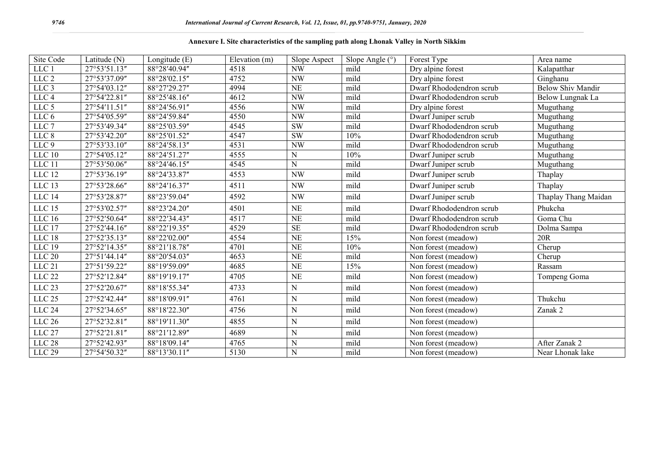### **Annexure I. Site characteristics of the sampling path along Lhonak Valley in North Sikkim**

| Site Code         | Latitude (N) | Longitude (E) | Elevation (m) | Slope Aspect | Slope Angle $(°)$ | Forest Type              | Area name                |
|-------------------|--------------|---------------|---------------|--------------|-------------------|--------------------------|--------------------------|
| LLC 1             | 27°53'51.13" | 88°28'40.94"  | 4518          | NW           | mild              | Dry alpine forest        | Kalapatthar              |
| LLC <sub>2</sub>  | 27°53'37.09" | 88°28'02.15"  | 4752          | <b>NW</b>    | mild              | Dry alpine forest        | Ginghanu                 |
| LLC <sub>3</sub>  | 27°54'03.12" | 88°27'29.27"  | 4994          | NE           | mild              | Dwarf Rhododendron scrub | <b>Below Shiv Mandir</b> |
| LLC <sub>4</sub>  | 27°54'22.81" | 88°25'48.16"  | 4612          | NW           | mild              | Dwarf Rhododendron scrub | Below Lungnak La         |
| LLC 5             | 27°54'11.51" | 88°24'56.91"  | 4556          | NW           | mild              | Dry alpine forest        | Muguthang                |
| LLC 6             | 27°54'05.59" | 88°24'59.84"  | 4550          | NW           | mild              | Dwarf Juniper scrub      | Muguthang                |
| $LLC$ 7           | 27°53'49.34" | 88°25'03.59"  | 4545          | <b>SW</b>    | mild              | Dwarf Rhododendron scrub | Muguthang                |
| LLC <sub>8</sub>  | 27°53'42.20" | 88°25'01.52"  | 4547          | <b>SW</b>    | 10%               | Dwarf Rhododendron scrub | Muguthang                |
| LLC <sub>9</sub>  | 27°53'33.10" | 88°24'58.13"  | 4531          | NW           | mild              | Dwarf Rhododendron scrub | Muguthang                |
| <b>LLC 10</b>     | 27°54'05.12" | 88°24'51.27"  | 4555          | ${\bf N}$    | 10%               | Dwarf Juniper scrub      | Muguthang                |
| LLC 11            | 27°53'50.06" | 88°24'46.15"  | 4545          | $\mathbf N$  | mild              | Dwarf Juniper scrub      | Muguthang                |
| $LLC$ 12          | 27°53'36.19" | 88°24'33.87"  | 4553          | NW           | mild              | Dwarf Juniper scrub      | Thaplay                  |
| $LLC$ 13          | 27°53'28.66" | 88°24'16.37"  | 4511          | <b>NW</b>    | mild              | Dwarf Juniper scrub      | Thaplay                  |
| LLC 14            | 27°53'28.87" | 88°23'59.04"  | 4592          | NW           | mild              | Dwarf Juniper scrub      | Thaplay Thang Maidan     |
| $LLC$ 15          | 27°53'02.57" | 88°23'24.20"  | 4501          | NE           | mild              | Dwarf Rhododendron scrub | Phukcha                  |
| LLC16             | 27°52'50.64" | 88°22'34.43"  | 4517          | NE           | mild              | Dwarf Rhododendron scrub | Goma Chu                 |
| LLC 17            | 27°52'44.16" | 88°22'19.35"  | 4529          | SE           | mild              | Dwarf Rhododendron scrub | Dolma Sampa              |
| LLC 18            | 27°52'35.13" | 88°22'02.00"  | 4554          | <b>NE</b>    | 15%               | Non forest (meadow)      | 20R                      |
| LLC 19            | 27°52'14.35" | 88°21'18.78"  | 4701          | NE           | 10%               | Non forest (meadow)      | Cherup                   |
| $LLC$ 20          | 27°51'44.14" | 88°20'54.03"  | 4653          | NE           | mild              | Non forest (meadow)      | Cherup                   |
| LLC <sub>21</sub> | 27°51'59.22" | 88°19'59.09"  | 4685          | NE           | 15%               | Non forest (meadow)      | Rassam                   |
| ${\rm LLC}$ 22    | 27°52'12.84" | 88°19'19.17"  | 4705          | <b>NE</b>    | mild              | Non forest (meadow)      | Tompeng Goma             |
| $LLC$ 23          | 27°52'20.67" | 88°18'55.34"  | 4733          | ${\bf N}$    | mild              | Non forest (meadow)      |                          |
| $LLC$ $25\,$      | 27°52'42.44" | 88°18'09.91"  | 4761          | ${\bf N}$    | mild              | Non forest (meadow)      | Thukchu                  |
| LLC <sub>24</sub> | 27°52'34.65" | 88°18'22.30"  | 4756          | ${\bf N}$    | mild              | Non forest (meadow)      | Zanak 2                  |
| $LLC$ $26$        | 27°52'32.81" | 88°19'11.30"  | 4855          | ${\bf N}$    | mild              | Non forest (meadow)      |                          |
| LLC <sub>27</sub> | 27°52'21.81" | 88°21'12.89"  | 4689          | $\mathbf N$  | mild              | Non forest (meadow)      |                          |
| <b>LLC 28</b>     | 27°52'42.93" | 88°18'09.14"  | 4765          | N            | mild              | Non forest (meadow)      | After Zanak 2            |
| LLC 29            | 27°54'50.32" | 88°13'30.11"  | 5130          | ${\bf N}$    | mild              | Non forest (meadow)      | Near Lhonak lake         |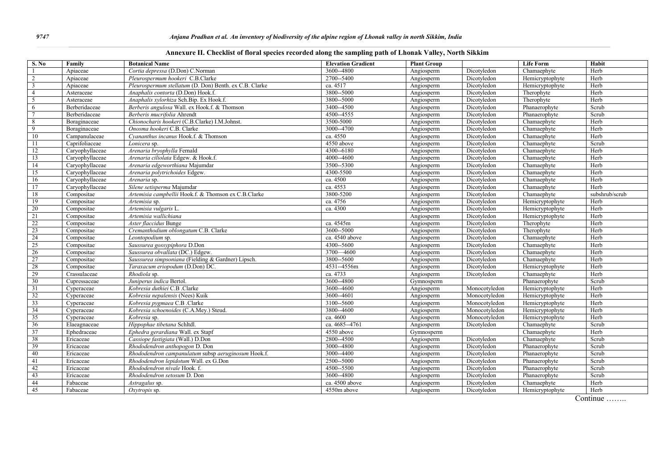|  |  |  |  |  | Annexure II. Checklist of floral species recorded along the sampling path of Lhonak Valley, North Sikkim |
|--|--|--|--|--|----------------------------------------------------------------------------------------------------------|
|--|--|--|--|--|----------------------------------------------------------------------------------------------------------|

| <b>S. No</b>   | Family          | <b>Botanical Name</b>                                  | <b>Elevation Gradient</b> | <b>Plant Group</b> |               | <b>Life Form</b> | Habit          |
|----------------|-----------------|--------------------------------------------------------|---------------------------|--------------------|---------------|------------------|----------------|
|                | Apiaceae        | Cortia depressa (D.Don) C.Norman                       | 3600--4800                | Angiosperm         | Dicotyledon   | Chamaephyte      | Herb           |
|                | Apiaceae        | Pleurospermum hookeri C.B.Clarke                       | 2700--5400                | Angiosperm         | Dicotyledon   | Hemicryptophyte  | Herb           |
| $\overline{3}$ | Apiaceae        | Pleurospermum stellatum (D. Don) Benth. ex C.B. Clarke | ca. 4517                  | Angiosperm         | Dicotyledon   | Hemicryptophyte  | Herb           |
| $\overline{4}$ | Asteraceae      | Anaphalis contorta (D.Don) Hook.f.                     | 3800--5000                | Angiosperm         | Dicotyledon   | Therophyte       | Herb           |
| 5              | Asteraceae      | Anaphalis xylorhiza Sch.Bip. Ex Hook.f.                | 3800--5000                | Angiosperm         | Dicotyledon   | Therophyte       | Herb           |
| 6              | Berberidaceae   | Berberis angulosa Wall. ex Hook.f. & Thomson           | 3400--4500                | Angiosperm         | Dicotyledon   | Phanaerophyte    | Scrub          |
|                | Berberidaceae   | Berberis mucrifolia Ahrendt                            | 4500-4555                 | Angiosperm         | Dicotyledon   | Phanaerophyte    | Scrub          |
| 8              | Boraginaceae    | Chionocharis hookeri (C.B.Clarke) I.M.Johnst.          | 3500-5000                 | Angiosperm         | Dicotyledon   | Chamaephyte      | Herb           |
| 9              | Boraginaceae    | Onosma hookeri C.B. Clarke                             | 3000--4700                | Angiosperm         | Dicotyledon   | Chamaephyte      | Herb           |
| 10             | Campanulaceae   | Cyananthus incanus Hook.f. & Thomson                   | ca. 4550                  | Angiosperm         | Dicotyledon   | Chamaephyte      | Herb           |
| 11             | Caprifoliaceae  | Lonicera sp.                                           | 4550 above                | Angiosperm         | Dicotyledon   | Chamaephyte      | Scrub          |
| 12             | Caryophyllaceae | Arenaria bryophylla Fernald                            | 4300-6180                 | Angiosperm         | Dicotyledon   | Chamaephyte      | Herb           |
| 13             | Caryophyllaceae | Arenaria ciliolata Edgew, & Hook.f.                    | 4000--4600                | Angiosperm         | Dicotyledon   | Chamaephyte      | Herb           |
| 14             | Caryophyllaceae | Arenaria edgeworthiana Majumdar                        | 3500--5300                | Angiosperm         | Dicotyledon   | Chamaephyte      | Herb           |
| 15             | Caryophyllaceae | Arenaria polytrichoides Edgew.                         | 4300-5500                 | Angiosperm         | Dicotyledon   | Chamaephyte      | Herb           |
| 16             | Caryophyllaceae | Arenaria sp.                                           | ca. 4500                  | Angiosperm         | Dicotyledon   | Chamaephyte      | Herb           |
| 17             | Caryophyllaceae | Silene setisperma Majumdar                             | ca. 4553                  | Angiosperm         | Dicotyledon   | Chamaephyte      | Herb           |
| 18             | Compositae      | Artemisia campbellii Hook.f. & Thomson ex C.B.Clarke   | 3800-5200                 | Angiosperm         | Dicotyledon   | Chamaephyte      | subshrub/scrub |
| 19             | Compositae      | Artemisia sp.                                          | ca. 4756                  | Angiosperm         | Dicotyledon   | Hemicryptophyte  | Herb           |
| 20             | Compositae      | Artemisia vulgaris L.                                  | ca. 4300                  | Angiosperm         | Dicotyledon   | Hemicryptophyte  | Herb           |
| 21             | Compositae      | Artemisia wallichiana                                  |                           | Angiosperm         | Dicotyledon   | Hemicryptophyte  | Herb           |
| 22             | Compositae      | Aster flaccidus Bunge                                  | ca. 4545m                 | Angiosperm         | Dicotyledon   | Therophyte       | Herb           |
| 23             | Compositae      | Cremanthodium oblongatum C.B. Clarke                   | 3600--5000                | Angiosperm         | Dicotyledon   | Therophyte       | Herb           |
| 24             | Compositae      | Leontopodium sp.                                       | ca. 4540 above            | Angiosperm         | Dicotyledon   | Chamaephyte      | Herb           |
| 25             | Compositae      | Saussurea gossypiphora D.Don                           | 4300--5600                | Angiosperm         | Dicotyledon   | Chamaephyte      | Herb           |
| 26             | Compositae      | Saussurea obvallata (DC.) Edgew.                       | 3700 - 4600               | Angiosperm         | Dicotyledon   | Chamaephyte      | Herb           |
| 27             | Compositae      | Saussurea simpsoniana (Fielding & Gardner) Lipsch.     | 3800--5600                | Angiosperm         | Dicotyledon   | Chamaephyte      | Herb           |
| 28             | Compositae      | Taraxacum eriopodum (D.Don) DC.                        | 4531--4556m               | Angiosperm         | Dicotyledon   | Hemicryptophyte  | Herb           |
| 29             | Crassulaceae    | Rhodiola sp.                                           | ca. 4733                  | Angiosperm         | Dicotyledon   | Chamaephyte      | Herb           |
| 30             | Cupressaceae    | Juniperus indica Bertol.                               | 3600--4800                | Gymnosperm         |               | Phanaerophyte    | Scrub          |
| 31             | Cyperaceae      | Kobresia duthiei C.B .Clarke                           | 3600--4600                | Angiosperm         | Monocotyledon | Hemicryptophyte  | Herb           |
| 32             | Cyperaceae      | Kobresia nepalensis (Nees) Kuik                        | 3600--4601                | Angiosperm         | Monocotyledon | Hemicryptophyte  | Herb           |
| 33             | Cyperaceae      | Kobresia pygmaea C.B .Clarke                           | 3100--5600                | Angiosperm         | Monocotyledon | Hemicryptophyte  | Herb           |
| 34             | Cyperaceae      | Kobresia schoenoides (C.A.Mey.) Steud.                 | 3800--4600                | Angiosperm         | Monocotyledon | Hemicryptophyte  | Herb           |
| 35             | Cyperaceae      | Kobresia sp.                                           | ca. 4600                  | Angiosperm         | Monocotyledon | Hemicryptophyte  | Herb           |
| 36             | Elaeagnaceae    | Hippophae tibetana Schltdl.                            | ca. 4685--4761            | Angiosperm         | Dicotyledon   | Chamaephyte      | Scrub          |
| 37             | Ephedraceae     | Ephedra gerardiana Wall. ex Stapf                      | 4550 above                | Gymnosperm         |               | Chamaephyte      | Herb           |
| 38             | Ericaceae       | Cassiope fastigiata (Wall.) D.Don                      | 2800--4500                | Angiosperm         | Dicotyledon   | Chamaephyte      | Scrub          |
| 39             | Ericaceae       | Rhododendron anthopogon D. Don                         | 3000--4800                | Angiosperm         | Dicotyledon   | Phanaerophyte    | Scrub          |
| 40             | Ericaceae       | Rhododendron campanulatum subsp aeruginosum Hook.f.    | 3000--4400                | Angiosperm         | Dicotyledon   | Phanaerophyte    | Scrub          |
| 41             | Ericaceae       | Rhododendron lepidotum Wall. ex G.Don                  | $\overline{2500}$ -5000   | Angiosperm         | Dicotyledon   | Phanaerophyte    | Scrub          |
| 42             | Ericaceae       | Rhododendron nivale Hook. f.                           | 4500--5500                | Angiosperm         | Dicotyledon   | Phanaerophyte    | Scrub          |
| 43             | Ericaceae       | Rhododendron setosum D. Don                            | 3600--4800                | Angiosperm         | Dicotyledon   | Phanaerophyte    | Scrub          |
| 44             | Fabaceae        | Astragalus sp.                                         | ca. 4500 above            | Angiosperm         | Dicotyledon   | Chamaephyte      | Herb           |
| 45             | Fabaceae        | Oxytropis sp.                                          | 4550m above               | Angiosperm         | Dicotyledon   | Hemicryptophyte  | Herb           |
|                |                 |                                                        |                           |                    |               |                  |                |

Continue ……..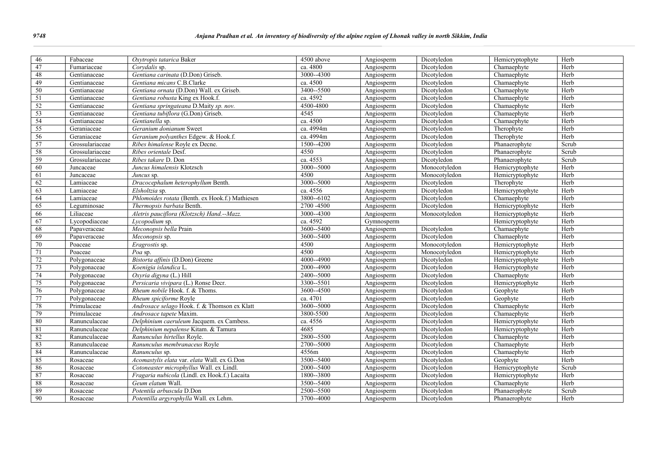| 46<br>Fabaceae<br>4500 above<br>Dicotyledon<br>Herb<br>Oxytropis tatarica Baker<br>Angiosperm<br>Hemicryptophyte<br>47<br>Herb<br>ca. 4800<br>Dicotyledon<br>Chamaephyte<br>Fumariaceae<br>Corvdalis sp.<br>Angiosperm<br>48<br>Gentiana carinata (D.Don) Griseb.<br>3000--4300<br>Dicotyledon<br>Herb<br>Gentianaceae<br>Angiosperm<br>Chamaephyte<br>49<br>Gentiana micans C.B.Clarke<br>ca. 4500<br>Dicotyledon<br>Herb<br>Gentianaceae<br>Angiosperm<br>Chamaephyte<br>50<br>3400--5500<br>Chamaephyte<br>Herb<br>Gentianaceae<br>Gentiana ornata (D.Don) Wall. ex Griseb.<br>Dicotyledon<br>Angiosperm |  |
|-------------------------------------------------------------------------------------------------------------------------------------------------------------------------------------------------------------------------------------------------------------------------------------------------------------------------------------------------------------------------------------------------------------------------------------------------------------------------------------------------------------------------------------------------------------------------------------------------------------|--|
|                                                                                                                                                                                                                                                                                                                                                                                                                                                                                                                                                                                                             |  |
|                                                                                                                                                                                                                                                                                                                                                                                                                                                                                                                                                                                                             |  |
|                                                                                                                                                                                                                                                                                                                                                                                                                                                                                                                                                                                                             |  |
|                                                                                                                                                                                                                                                                                                                                                                                                                                                                                                                                                                                                             |  |
|                                                                                                                                                                                                                                                                                                                                                                                                                                                                                                                                                                                                             |  |
| 51<br>Gentiana robusta King ex Hook.f.<br>ca. 4592<br>Dicotyledon<br>Herb<br>Gentianaceae<br>Angiosperm<br>Chamaephyte                                                                                                                                                                                                                                                                                                                                                                                                                                                                                      |  |
| 52<br>4500-4800<br>Gentiana springateana D.Maity sp. nov.<br>Dicotyledon<br>Chamaephyte<br>Herb<br>Gentianaceae<br>Angiosperm                                                                                                                                                                                                                                                                                                                                                                                                                                                                               |  |
| 53<br>4545<br>Herb<br>Gentianaceae<br>Gentiana tubiflora (G.Don) Griseb.<br>Angiosperm<br>Dicotyledon<br>Chamaephyte                                                                                                                                                                                                                                                                                                                                                                                                                                                                                        |  |
| 54<br>ca. 4500<br>Herb<br>Gentianella sp.<br>Angiosperm<br>Dicotyledon<br>Chamaephyte<br>Gentianaceae                                                                                                                                                                                                                                                                                                                                                                                                                                                                                                       |  |
| 55<br>ca. 4994m<br>Geranium donianum Sweet<br>Therophyte<br>Dicotyledon<br>Herb<br>Geraniaceae<br>Angiosperm                                                                                                                                                                                                                                                                                                                                                                                                                                                                                                |  |
| 56<br>ca. 4994m<br>Herb<br>Geranium polyanthes Edgew. & Hook.f.<br>Dicotyledon<br>Therophyte<br>Geraniaceae<br>Angiosperm                                                                                                                                                                                                                                                                                                                                                                                                                                                                                   |  |
| 57<br>1500--4200<br>Scrub<br>Grossulariaceae<br>Ribes himalense Royle ex Decne.<br>Angiosperm<br>Dicotyledon<br>Phanaerophyte                                                                                                                                                                                                                                                                                                                                                                                                                                                                               |  |
| 58<br>4550<br>Grossulariaceae<br>Ribes orientale Desf.<br>Dicotyledon<br>Phanaerophyte<br>Scrub<br>Angiosperm                                                                                                                                                                                                                                                                                                                                                                                                                                                                                               |  |
| 59<br>ca. 4553<br>Dicotyledon<br>Scrub<br>Grossulariaceae<br>Ribes takare D. Don<br>Angiosperm<br>Phanaerophyte                                                                                                                                                                                                                                                                                                                                                                                                                                                                                             |  |
| $3000 - 5000$<br>60<br>Hemicryptophyte<br>Herb<br>Juncus himalensis Klotzsch<br>Angiosperm<br>Monocotyledon<br>Juncaceae                                                                                                                                                                                                                                                                                                                                                                                                                                                                                    |  |
| 4500<br>Herb<br>61<br>Angiosperm<br>Monocotyledon<br>Hemicryptophyte<br>Juncaceae<br>Juncus sp.                                                                                                                                                                                                                                                                                                                                                                                                                                                                                                             |  |
| 3000--5000<br>Herb<br>62<br>Dracocephalum heterophyllum Benth.<br>Dicotyledon<br>Lamiaceae<br>Angiosperm<br>Therophyte                                                                                                                                                                                                                                                                                                                                                                                                                                                                                      |  |
| 63<br>ca. 4556<br>Herb<br>Dicotyledon<br>Hemicryptophyte<br>Lamiaceae<br>Elsholtzia sp.<br>Angiosperm                                                                                                                                                                                                                                                                                                                                                                                                                                                                                                       |  |
| Phlomoides rotata (Benth. ex Hook.f.) Mathiesen<br>3800--6102<br>64<br>Dicotyledon<br>Herb<br>Lamiaceae<br>Angiosperm<br>Chamaephyte                                                                                                                                                                                                                                                                                                                                                                                                                                                                        |  |
| 65<br>2700 - 4500<br>Herb<br>Thermopsis barbata Benth.<br>Dicotyledon<br>Leguminosae<br>Angiosperm<br>Hemicryptophyte                                                                                                                                                                                                                                                                                                                                                                                                                                                                                       |  |
| 66<br>Aletris pauciflora (Klotzsch) Hand.--Mazz.<br>3000--4300<br>Herb<br>Liliaceae<br>Angiosperm<br>Monocotyledon<br>Hemicryptophyte                                                                                                                                                                                                                                                                                                                                                                                                                                                                       |  |
| ca. 4592<br>67<br>Lycopodiaceae<br>Hemicryptophyte<br>Herb<br>Lycopodium sp.<br>Gymnosperm                                                                                                                                                                                                                                                                                                                                                                                                                                                                                                                  |  |
| 68<br>Meconopsis bella Prain<br>3600--5400<br>Dicotyledon<br>Herb<br>Chamaephyte<br>Papaveraceae<br>Angiosperm                                                                                                                                                                                                                                                                                                                                                                                                                                                                                              |  |
| 69<br>3600--5400<br>Dicotyledon<br>Chamaephyte<br>Herb<br>Papaveraceae<br>Meconopsis sp.<br>Angiosperm                                                                                                                                                                                                                                                                                                                                                                                                                                                                                                      |  |
| Monocotyledon<br>Herb<br>70<br>4500<br>Angiosperm<br>Hemicryptophyte<br>Poaceae<br>Eragrostis sp.                                                                                                                                                                                                                                                                                                                                                                                                                                                                                                           |  |
| 4500<br>Herb<br>71<br>Poaceae<br>Poa sp.<br>Angiosperm<br>Monocotyledon<br>Hemicryptophyte                                                                                                                                                                                                                                                                                                                                                                                                                                                                                                                  |  |
| 72<br>4000--4900<br>Bistorta affinis (D.Don) Greene<br>Herb<br>Polygonaceae<br>Angiosperm<br>Dicotyledon<br>Hemicryptophyte                                                                                                                                                                                                                                                                                                                                                                                                                                                                                 |  |
| 73<br>2000--4900<br>Dicotyledon<br>Herb<br>Polygonaceae<br>Koenigia islandica L.<br>Hemicryptophyte<br>Angiosperm                                                                                                                                                                                                                                                                                                                                                                                                                                                                                           |  |
| 74<br>2400--5000<br>Herb<br>Polygonaceae<br>Oxyria digyna (L.) Hill<br>Angiosperm<br>Dicotyledon<br>Chamaephyte                                                                                                                                                                                                                                                                                                                                                                                                                                                                                             |  |
| 75<br>Persicaria vivipara (L.) Ronse Decr.<br>Polygonaceae<br>3300--5501<br>Dicotyledon<br>Hemicryptophyte<br>Herb<br>Angiosperm                                                                                                                                                                                                                                                                                                                                                                                                                                                                            |  |
| Herb<br>76<br>Rheum nobile Hook. f. & Thoms.<br>3600--4500<br>Dicotyledon<br>Polygonaceae<br>Angiosperm<br>Geophyte                                                                                                                                                                                                                                                                                                                                                                                                                                                                                         |  |
| ca. 4701<br>77<br>Geophyte<br>Herb<br>Polygonaceae<br>Rheum spiciforme Royle<br>Angiosperm<br>Dicotyledon                                                                                                                                                                                                                                                                                                                                                                                                                                                                                                   |  |
| 3600--5000<br>78<br>Androsace selago Hook. f. & Thomson ex Klatt<br>Dicotyledon<br>Chamaephyte<br>Herb<br>Primulaceae<br>Angiosperm                                                                                                                                                                                                                                                                                                                                                                                                                                                                         |  |
| 79<br>3800-5500<br>Herb<br>Androsace tapete Maxim.<br>Dicotyledon<br>Chamaephyte<br>Primulaceae<br>Angiosperm                                                                                                                                                                                                                                                                                                                                                                                                                                                                                               |  |
| 80<br>Herb<br>Delphinium caeruleum Jacquem. ex Cambess.<br>ca. 4556<br>Dicotyledon<br>Hemicryptophyte<br>Ranunculaceae<br>Angiosperm                                                                                                                                                                                                                                                                                                                                                                                                                                                                        |  |
| 81<br>4685<br>Herb<br>Ranunculaceae<br>Delphinium nepalense Kitam. & Tamura<br>Dicotyledon<br>Hemicryptophyte<br>Angiosperm                                                                                                                                                                                                                                                                                                                                                                                                                                                                                 |  |
| 82<br>2800--5500<br>Herb<br>Ranunculus hirtellus Royle.<br>Dicotyledon<br>Ranunculaceae<br>Angiosperm<br>Chamaephyte                                                                                                                                                                                                                                                                                                                                                                                                                                                                                        |  |
| 83<br>2700--5000<br>Chamaephyte<br>Herb<br>Ranunculaceae<br>Ranunculus membranaceus Royle<br>Angiosperm<br>Dicotyledon                                                                                                                                                                                                                                                                                                                                                                                                                                                                                      |  |
| 84<br>4556m<br>Herb<br>Ranunculaceae<br>Ranunculus sp.<br>Angiosperm<br>Dicotyledon<br>Chamaephyte                                                                                                                                                                                                                                                                                                                                                                                                                                                                                                          |  |
| 85<br>Acomastylis elata var. elata Wall. ex G.Don<br>Herb<br>3500--5400<br>Dicotyledon<br>Rosaceae<br>Angiosperm<br>Geophyte                                                                                                                                                                                                                                                                                                                                                                                                                                                                                |  |
| 86<br>Cotoneaster microphyllus Wall. ex Lindl.<br>2000--5400<br>Scrub<br>Rosaceae<br>Angiosperm<br>Dicotyledon<br>Hemicryptophyte                                                                                                                                                                                                                                                                                                                                                                                                                                                                           |  |
| 87<br>1800--3800<br>Fragaria nubicola (Lindl. ex Hook.f.) Lacaita<br>Dicotyledon<br>Hemicryptophyte<br>Herb<br>Rosaceae<br>Angiosperm                                                                                                                                                                                                                                                                                                                                                                                                                                                                       |  |
| $88\,$<br>Geum elatum Wall.<br>3500--5400<br>Dicotyledon<br>Herb<br>Rosaceae<br>Angiosperm<br>Chamaephyte                                                                                                                                                                                                                                                                                                                                                                                                                                                                                                   |  |
| 89<br>Potentila arbuscula D.Don<br>2500--5500<br>Dicotyledon<br>Scrub<br>Rosaceae<br>Angiosperm<br>Phanaerophyte                                                                                                                                                                                                                                                                                                                                                                                                                                                                                            |  |
| 90<br>3700--4000<br>Herb<br>Potentilla argyrophylla Wall. ex Lehm.<br>Dicotyledon<br>Phanaerophyte<br>Rosaceae<br>Angiosperm                                                                                                                                                                                                                                                                                                                                                                                                                                                                                |  |